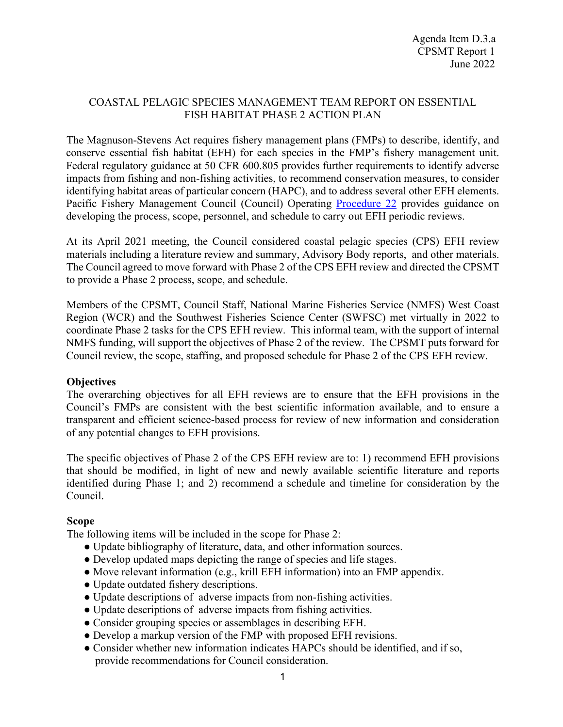### COASTAL PELAGIC SPECIES MANAGEMENT TEAM REPORT ON ESSENTIAL FISH HABITAT PHASE 2 ACTION PLAN

The Magnuson-Stevens Act requires fishery management plans (FMPs) to describe, identify, and conserve essential fish habitat (EFH) for each species in the FMP's fishery management unit. Federal regulatory guidance at 50 CFR 600.805 provides further requirements to identify adverse impacts from fishing and non-fishing activities, to recommend conservation measures, to consider identifying habitat areas of particular concern (HAPC), and to address several other EFH elements. Pacific Fishery Management Council (Council) Operating Procedure 22 provides guidance on developing the process, scope, personnel, and schedule to carry out EFH periodic reviews.

At its April 2021 meeting, the Council considered coastal pelagic species (CPS) EFH review materials including a literature review and summary, Advisory Body reports, and other materials. The Council agreed to move forward with Phase 2 of the CPS EFH review and directed the CPSMT to provide a Phase 2 process, scope, and schedule.

Members of the CPSMT, Council Staff, National Marine Fisheries Service (NMFS) West Coast Region (WCR) and the Southwest Fisheries Science Center (SWFSC) met virtually in 2022 to coordinate Phase 2 tasks for the CPS EFH review. This informal team, with the support of internal NMFS funding, will support the objectives of Phase 2 of the review. The CPSMT puts forward for Council review, the scope, staffing, and proposed schedule for Phase 2 of the CPS EFH review.

#### **Objectives**

The overarching objectives for all EFH reviews are to ensure that the EFH provisions in the Council's FMPs are consistent with the best scientific information available, and to ensure a transparent and efficient science-based process for review of new information and consideration of any potential changes to EFH provisions.

The specific objectives of Phase 2 of the CPS EFH review are to: 1) recommend EFH provisions that should be modified, in light of new and newly available scientific literature and reports identified during Phase 1; and 2) recommend a schedule and timeline for consideration by the Council.

#### **Scope**

The following items will be included in the scope for Phase 2:

- Update bibliography of literature, data, and other information sources.
- Develop updated maps depicting the range of species and life stages.
- Move relevant information (e.g., krill EFH information) into an FMP appendix.
- Update outdated fishery descriptions.
- Update descriptions of adverse impacts from non-fishing activities.
- Update descriptions of adverse impacts from fishing activities.
- Consider grouping species or assemblages in describing EFH.
- Develop a markup version of the FMP with proposed EFH revisions.
- Consider whether new information indicates HAPCs should be identified, and if so, provide recommendations for Council consideration.